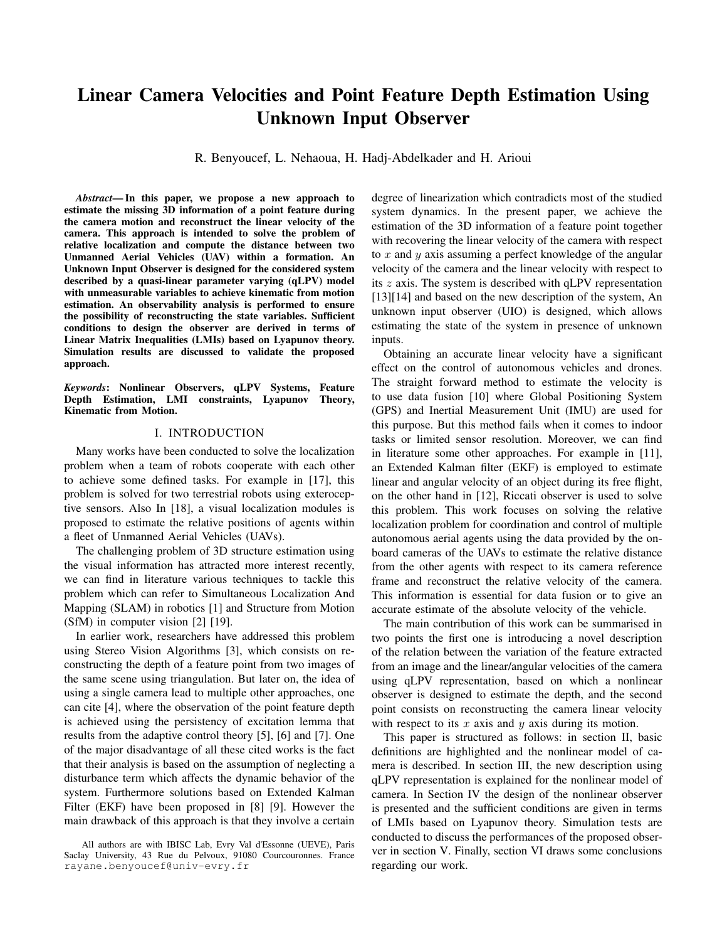# Linear Camera Velocities and Point Feature Depth Estimation Using Unknown Input Observer

R. Benyoucef, L. Nehaoua, H. Hadj-Abdelkader and H. Arioui

*Abstract*— In this paper, we propose a new approach to estimate the missing 3D information of a point feature during the camera motion and reconstruct the linear velocity of the camera. This approach is intended to solve the problem of relative localization and compute the distance between two Unmanned Aerial Vehicles (UAV) within a formation. An Unknown Input Observer is designed for the considered system described by a quasi-linear parameter varying (qLPV) model with unmeasurable variables to achieve kinematic from motion estimation. An observability analysis is performed to ensure the possibility of reconstructing the state variables. Sufficient conditions to design the observer are derived in terms of Linear Matrix Inequalities (LMIs) based on Lyapunov theory. Simulation results are discussed to validate the proposed approach.

*Keywords*: Nonlinear Observers, qLPV Systems, Feature Depth Estimation, LMI constraints, Lyapunov Theory, Kinematic from Motion.

#### I. INTRODUCTION

Many works have been conducted to solve the localization problem when a team of robots cooperate with each other to achieve some defined tasks. For example in [17], this problem is solved for two terrestrial robots using exteroceptive sensors. Also In [18], a visual localization modules is proposed to estimate the relative positions of agents within a fleet of Unmanned Aerial Vehicles (UAVs).

The challenging problem of 3D structure estimation using the visual information has attracted more interest recently, we can find in literature various techniques to tackle this problem which can refer to Simultaneous Localization And Mapping (SLAM) in robotics [1] and Structure from Motion (SfM) in computer vision [2] [19].

In earlier work, researchers have addressed this problem using Stereo Vision Algorithms [3], which consists on reconstructing the depth of a feature point from two images of the same scene using triangulation. But later on, the idea of using a single camera lead to multiple other approaches, one can cite [4], where the observation of the point feature depth is achieved using the persistency of excitation lemma that results from the adaptive control theory [5], [6] and [7]. One of the major disadvantage of all these cited works is the fact that their analysis is based on the assumption of neglecting a disturbance term which affects the dynamic behavior of the system. Furthermore solutions based on Extended Kalman Filter (EKF) have been proposed in [8] [9]. However the main drawback of this approach is that they involve a certain degree of linearization which contradicts most of the studied system dynamics. In the present paper, we achieve the estimation of the 3D information of a feature point together with recovering the linear velocity of the camera with respect to  $x$  and  $y$  axis assuming a perfect knowledge of the angular velocity of the camera and the linear velocity with respect to its z axis. The system is described with qLPV representation [13][14] and based on the new description of the system, An unknown input observer (UIO) is designed, which allows estimating the state of the system in presence of unknown inputs.

Obtaining an accurate linear velocity have a significant effect on the control of autonomous vehicles and drones. The straight forward method to estimate the velocity is to use data fusion [10] where Global Positioning System (GPS) and Inertial Measurement Unit (IMU) are used for this purpose. But this method fails when it comes to indoor tasks or limited sensor resolution. Moreover, we can find in literature some other approaches. For example in [11], an Extended Kalman filter (EKF) is employed to estimate linear and angular velocity of an object during its free flight, on the other hand in [12], Riccati observer is used to solve this problem. This work focuses on solving the relative localization problem for coordination and control of multiple autonomous aerial agents using the data provided by the onboard cameras of the UAVs to estimate the relative distance from the other agents with respect to its camera reference frame and reconstruct the relative velocity of the camera. This information is essential for data fusion or to give an accurate estimate of the absolute velocity of the vehicle.

The main contribution of this work can be summarised in two points the first one is introducing a novel description of the relation between the variation of the feature extracted from an image and the linear/angular velocities of the camera using qLPV representation, based on which a nonlinear observer is designed to estimate the depth, and the second point consists on reconstructing the camera linear velocity with respect to its  $x$  axis and  $y$  axis during its motion.

This paper is structured as follows: in section II, basic definitions are highlighted and the nonlinear model of camera is described. In section III, the new description using qLPV representation is explained for the nonlinear model of camera. In Section IV the design of the nonlinear observer is presented and the sufficient conditions are given in terms of LMIs based on Lyapunov theory. Simulation tests are conducted to discuss the performances of the proposed observer in section V. Finally, section VI draws some conclusions regarding our work.

All authors are with IBISC Lab, Evry Val d'Essonne (UEVE), Paris Saclay University, 43 Rue du Pelvoux, 91080 Courcouronnes. France rayane.benyoucef@univ-evry.fr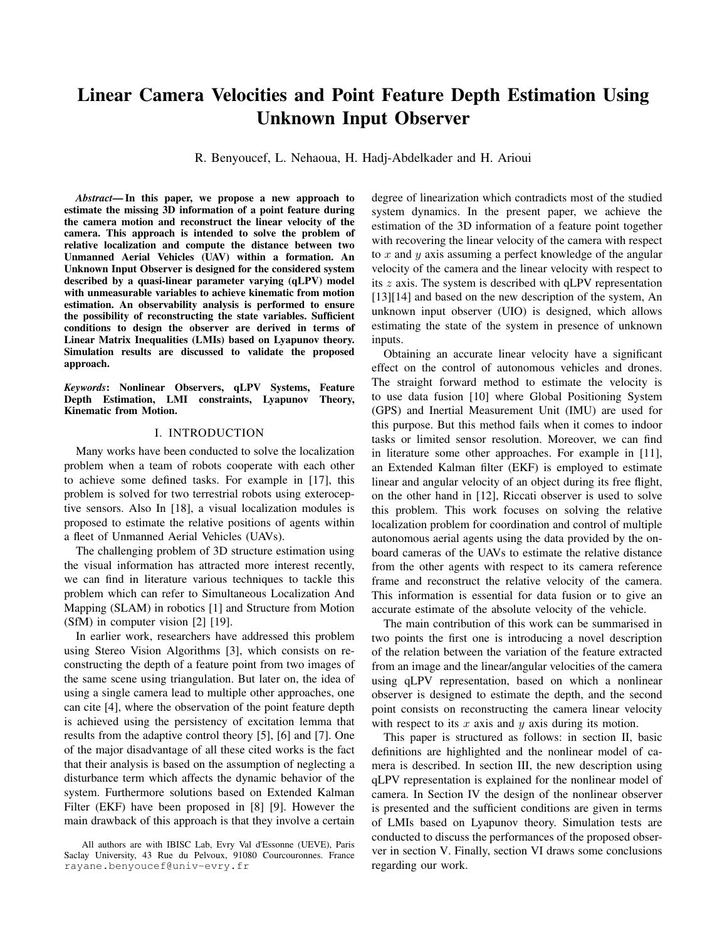### II. MATHEMATICAL BACKGROUND

In this section, we first provide some basic definitions and lemmas needed for the development of the proposed approach. Then, we recall the conventional camera model.

#### *A. Notations and basic definitions*

We represent matrices in upper case bold letters X and vectors in lower case bold letters x otherwise, the remaining notations represent scalars  $(x \text{ or } X)$ .

We recall in the following the theorems used in the analysis of the observer convergence:

*Theorem 1 (Strong Detectability Condition):* For every matrix A  $R^{n \times n}$ , F  $R^{n \times q}$  and C  $R^{m \times n}$ . We consider the following Linear Time Invariant (LTI) system:

<span id="page-1-6"></span><span id="page-1-0"></span>
$$
\mathbf{y}(t) = \mathbf{A}\mathbf{x}(t) + \mathbf{F}\mathbf{d}(t)
$$
  

$$
\mathbf{y}(t) = \mathbf{C}\mathbf{x}(t)
$$
 (1)

where  $x \in \mathbb{R}^n$ ,  $y \in \mathbb{R}^m$  and  $d \in \mathbb{R}^q$  are respectively the state vector, the unknown input vector and the output vector. The system [\(1\)](#page-1-0) is strongly detectable if:

$$
\lim_{t} y(t) = 0 \qquad \lim_{t} x(t) = 0 \tag{2}
$$

regardless of the input and the initial state. Algebraically this is equivalent to:

$$
rank(\mathbf{R}(p)) = n + q \tag{3}
$$

where  $p$  represents the pole of the system and  $R$  denotes the Rosenbrock matrix of system [\(1\)](#page-1-0), given by:

$$
R = \begin{array}{cc} p\mathbf{I} - \mathbf{A} & -\mathbf{F} \\ \mathbf{C} & 0 \end{array} \tag{4}
$$

<span id="page-1-7"></span>*Lemma 1:* For every matrix  $G = G^T > 0$ , X and Y with appropriate dimensions, the property below holds:

$$
\mathbf{X}^T \mathbf{Y} + \mathbf{Y}^T \mathbf{X} \quad \mathbf{X}^T \mathbf{G} \mathbf{X} + \mathbf{Y}^T \mathbf{G}^{-1} \mathbf{Y} \tag{5}
$$

<span id="page-1-8"></span>*Lemma 2 (Schur complement lemma):* Consider the following convex nonlinear inequalities:

$$
R > 0, T - SR^{-1}S^{T} > 0
$$
 (6)

where the matrices  $T = T^T$ ,  $R = R^T$  and S are of appropriate dimension. Hence, the previous inequalities can be written in the following form:

$$
\begin{array}{ccc}\nT & S & > 0 & (7) \\
S^T & R & \end{array}
$$

Note that the previous mathematical properties for the LTI systems hold for the case of qLPV systems considering the case of frozen parameter vectors.

#### *B. Conventional camera model*

Let P be a 3-D point of coordinates  $p = (XYZ)$ defined in the camera frame  $F_c$ . Its projection onto the image plane is obtained through the well-known Pinhole model. More precisely, the 3-D point  $p$  is projected in the image as a 2-D point with homogeneous coordinates given by the vector m as:

$$
\mathbf{m} = x \quad y \quad 1 \quad = \frac{1}{Z} \mathbf{p} \tag{8}
$$

The velocity of the 3D point  $p$  is related to the camera special velocity by:

<span id="page-1-1"></span>
$$
\mathbf{p} = -\boldsymbol{\upsilon} + \mathbf{p} \times \boldsymbol{\omega} = -\mathbf{I} \quad [\mathbf{p}]_{\times} \quad \mathbf{u} \tag{9}
$$

where  $\left[\right]_{\times}$  refers to the skew-symmetric matrix of a given vector,  $u = v \omega$  is the spatial velocity of the camera motion, with  $v = (v_x v_y v_z)$  and  $\omega = (\omega_x \omega_y \omega_z)$  are respectively, the instantaneous linear and angular velocities of the camera frame. From  $(9)$ , the dynamics of the inverse of the depth  $\frac{1}{Z}$  is given by:

<span id="page-1-3"></span>
$$
\frac{d}{dt} \frac{1}{Z} = 0 \quad 0 \quad -\frac{1}{Z^2} \quad -\frac{y}{Z} \quad \frac{x}{Z} \quad 0 \quad u \tag{10}
$$

The time derivative of the image point  $m$  is linked to the camera spatial velocity u by the following interaction matrix [13]:

<span id="page-1-2"></span>
$$
\mathbf{m} = \begin{array}{cccc} -\frac{1}{Z} & 0 & \frac{x}{Z} & xy & -(1+x^2) & y \\ 0 & -\frac{1}{Z} & \frac{y}{Z} & (1+y^2) & -xy & -x & \mathbf{u} & (11) \end{array}
$$

Let us now define the state vector as  $X = (s, \chi)$  with  $s =$  $(x, y)$  R<sup>2</sup> is a *measurable* vector, and  $\chi = \frac{1}{7}$  $\frac{1}{Z}$  R is the *unmeasurable* 3D data that we want to estimate. Using [\(11\)](#page-1-2) and  $(10)$ , the dynamics of the state vector  $X$  is given by:

<span id="page-1-4"></span>
$$
\begin{array}{rcl}\n\mathsf{S} & = & \mathsf{f}_m(\mathsf{S}, \mathsf{u}) + \mathsf{T}(\mathsf{S}, \mathsf{u}) \; \chi \\
\chi & = & \mathsf{f}_u(\mathsf{S}, \chi, \mathsf{u})\n\end{array} \tag{12}
$$

where the vectors  $\mathsf{T}(\mathsf{s},\mathsf{u})$   $\mathsf{R}^2, \mathsf{f}_m(\mathsf{s},\mathsf{u})$  R 2 and  $f_u(s, \chi, u)$  R are generic and sufficiently smooth w.r.t their arguments and they are defined as:

<span id="page-1-5"></span>
$$
\mathbf{f}_m(\mathbf{s}, \mathbf{u}) = \begin{cases} xy & -(1+x^2) & y \\ 1+y^2 & -xy & -x \end{cases} \quad \omega
$$
  
\n
$$
(\mathbf{s}, \mathbf{u}) = -v_x + xv_z - vy + yv_z
$$
  
\n
$$
\mathbf{f}_u(\mathbf{s}, \chi, \mathbf{u}) = v_z \chi^2 + (y \omega_x - x \omega_y) \chi
$$
\n(13)

In the upcoming sections, the dynamic model given in  $(12)$ will be expressed in a qLPV form in order to design a proper nonlinear Unknown Input (UI) Observer to estimate the depth information  $\chi$  and recover the linear velocities with respect to the  $x$  and  $y$  axis of the camera.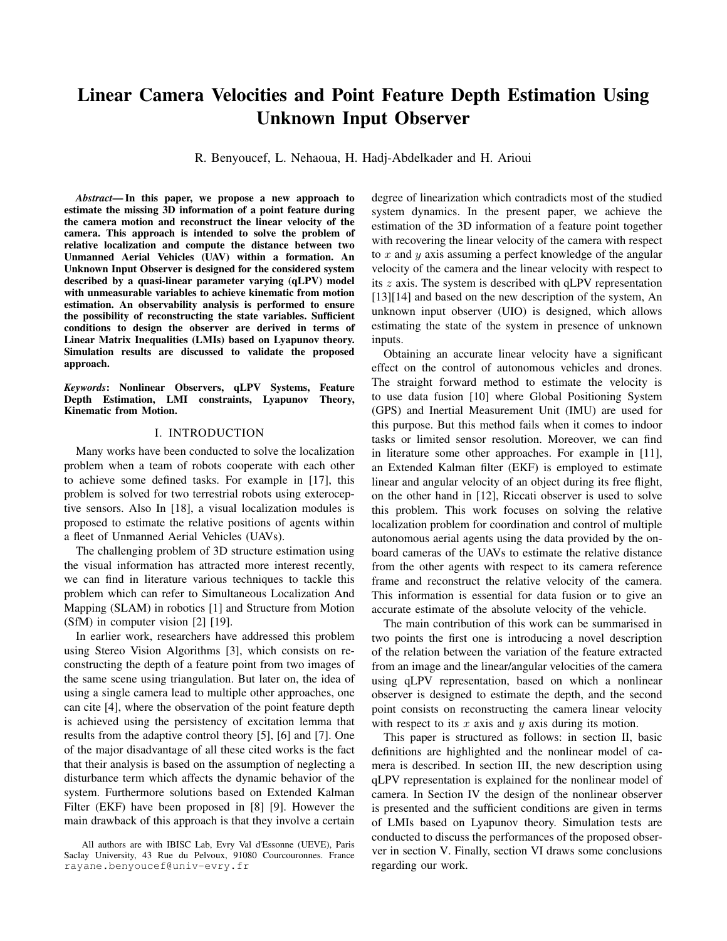## III. POLYTOPIC FORMULATION & DETECTABILITY **ANALYSIS**

We express in this section, the vision system model [\(13\)](#page-1-5) into qLPV structure and analyze the existence of the nonlinear UI observer.

The objective of this paper is to estimate the depth information  $\frac{1}{7}$  and reconstruct the linear velocities during the camera  $Z$  and recentrict the linear vecessity dating the calibration using a nonlinear unknown input observer. For this purpose, we represent the system [\(12\)](#page-1-4) in a state space form as follows:

<span id="page-2-0"></span>
$$
X = A(x, u) x + B(y) \omega + Fd
$$
  
\n
$$
y = Cx
$$
 (14)

where:

$$
A(x, u) = \begin{array}{ccc} 0 & 0 & xv_z \\ 0 & 0 & yv_z \\ yw_x & xw_y & \chi v_z + w_x y - xw_y \end{array}
$$

$$
B(y) = \begin{array}{ccc} xy & -(1 + x^2) & y \\ 1 + y^2 & -xy & -x \\ -xy & -xy & 0 \end{array}
$$

$$
F = \begin{array}{ccc} 1 & 0 \\ 0 & 1 \end{array} \quad d = \begin{array}{ccc} -\chi v_x \\ -\chi v_y \end{array}
$$

and y represents the output of the system with:

$$
C = \begin{array}{cc} 1 & 0 & 0 \\ 0 & 1 & 0 \end{array}
$$

Using the sector nonlinearity approach, the previous system [\(14\)](#page-2-0) can be represented in the polytopic form as follows:

<span id="page-2-1"></span>
$$
X = \int_{i=1}^{r} \mu_i(x) \mathbf{A}_i x + \mathbf{B}(y) \omega + \mathbf{F} d
$$
  
\n
$$
y = \mathbf{C} X
$$
 (15)

where  $\mathbf{A}_i$   $\mathbb{R}^{3 \times 3}$ ,  $\mathbf{B}(y)$   $\mathbb{R}^{3 \times 3}$  and  $\mu_i$ ,  $i = 1, \dots, r$  are the weighting functions with  $r$  is the number of sub-models that depends on the number of nonlinearities in the system (in our case we have five nonlinearities). These weighting functions satisfy the following convex sum property on the considered compact bounds of the nonlinearities of the system:

$$
\begin{array}{cc}\n0 & \mu_i & 1 \\
r & \mu_i = 1\n\end{array} (16)
$$

Note that in hereafter we are going to consider the discretetime form of the continuous-time system [\(15\)](#page-2-1) represented before and keep the same notations. Using Forward Euler Approximation for state space models, the previous system will have the following form:

$$
x(k+1) = \int_{i=1}^{r} i(x(k)) \mathbf{A}_i x(k) + \mathbf{B}(\mathbf{y}(k)) l(k) + \mathbf{F} \mathbf{d}(k)
$$
  

$$
\mathbf{y}(k) = \mathbf{C}x(k)
$$
 (17)

with  $k$  is the sampling instant.

The new description of the model enables us to synthesis a proper nonlinear unknown input observer to estimate the depth information and reconstruct the linear velocities. This type of observer exists under the following conditions:

- 1)  $rank(CF) = rank(F)$ .
- 2) the system  $(14)$  is strong detectable, that means, it satisfies the condition stated in theorem [\(1\)](#page-1-6)

After verifying the two conditions above, we can state that the UI observer exists. In the next section, we discuss the observer design.

#### IV. DESIGN OF THE UI OBSERVER

In this section we present the UI Observer design given in the form:

$$
Z(k+1) = \int_{i=1}^{r} \mu_i(\hat{\mathbf{x}}(k)) \mathbf{N}_i Z(k) + \mathbf{G}_i \omega(k) + \mathbf{L}_i \mathbf{y}(k)
$$
  

$$
\hat{\mathbf{x}}(k) = Z(k) - \mathbf{E} \mathbf{y}(k)
$$
 (18)

where  $Z \t R<sup>3</sup>$  is the state of the observer and  $\hat{X} \t R<sup>3</sup>$  the estimated state and the matrices  $N_i$ ,  $G_i$ ,  $L_i$  and  $E$  are the matrices gains to be computed such that the state estimation error given by [\(19\)](#page-2-2) converges to zero.

<span id="page-2-2"></span>
$$
\begin{array}{rcl}\n\mathbf{e}(k) & = & \mathbf{X}(k) - \hat{\mathbf{X}}(k) \\
& = & (\mathbf{I} + \mathbf{E}\,\mathbf{C})\,\hat{\mathbf{X}}(k) - \mathbf{Z}(k)\n\end{array} \tag{19}
$$

With  $T = I + EC$ , the error will be defined as:

$$
\mathbf{e}(k) = \mathbf{T}\,\hat{\mathbf{x}}(k) - \mathbf{Z}(k) \tag{20}
$$

For sake of simplicity, in what follows we put:  $e(k) = e_k$ . Thus, the expression of the estimation error is equivalent to:

<span id="page-2-3"></span>
$$
e_{k+1} = T \hat{X}_{k+1} - Z_{k+1}
$$
\n
$$
= \int_{i=1}^{r} \mu_{i}(\hat{X}_{k}) N_{i}e_{k} + (T A_{i} - K_{i}C - N_{i}) X_{k} + T F d_{k} + (T B_{i} - G_{i}) \omega_{k} + \Delta
$$
\n(21)

with  $\Delta = \mathbf{T} (\mu_i(\mathbf{x}_k) - \mu_i(\hat{\mathbf{x}}_k))(\mathbf{A}_i \mathbf{x}_k + \mathbf{B}_i \omega_k + \mathbf{F}\mathbf{d}_k)$  and  $K_i = N_i F - L_i.$ 

We assume that all the elements in  $\Delta$  are growth bounded with respect to  $e_k$ . Thus we can say that  $\Delta$  fulfills the calmness property at the origin:

$$
= \left( \frac{2}{3} \times \frac{2}{3} \hat{X}_k - X_k \right)^2 = \frac{2}{3} e_k^2 \qquad (22)
$$

The notation represents the 2-norm and  $\alpha^2 > 0$  is constant of Lipschitz.

To ensure the stability of the error dynamics [\(21\)](#page-2-3), the following conditions must be satisfied  $i = 1, \ldots, 32$ :

<span id="page-2-5"></span>1) The system defined by:  $N_i = \frac{r}{2}$  $\mu_i(\hat{\mathbf{x}}_k) \mathbf{N}_i.$ is stable where:  $e_{k+1} = \mathcal{N}_i e_k + \Delta$ .

<span id="page-2-8"></span>
$$
2) T A_i - K_i C - N_i = 0
$$

<span id="page-2-4"></span> $\tau$ 

<span id="page-2-7"></span>3)  $T B_i - G_i = 0$ 

<span id="page-2-6"></span>
$$
4) \mathsf{T} \mathsf{F} = 0
$$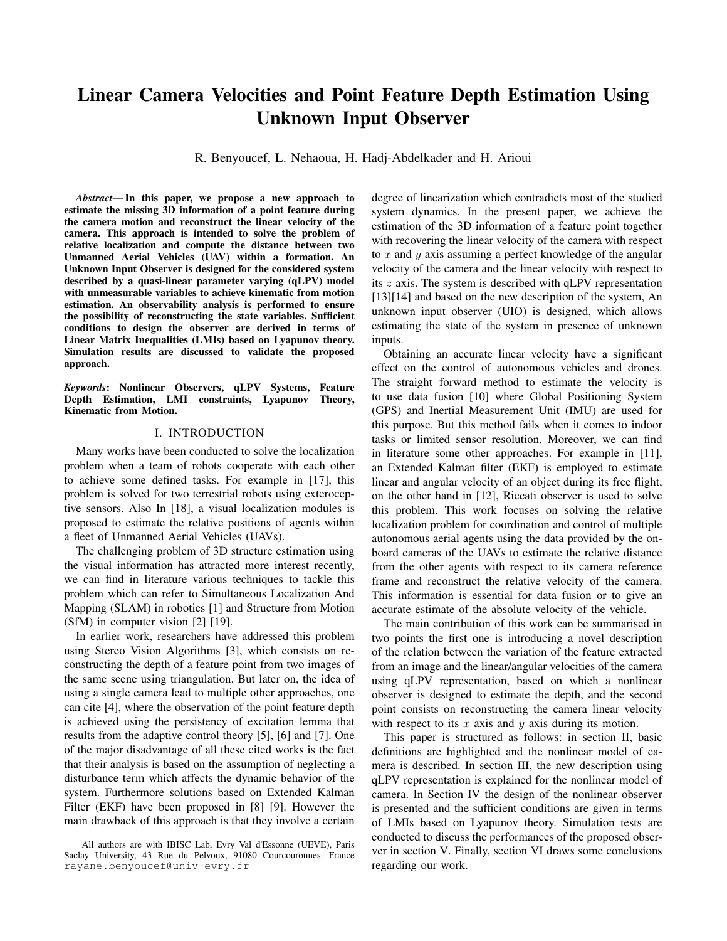The first condition implies that  $N_e$  is Hurwitz subject to a vanishing disturbance  $\Delta$  i.e:  $\Delta$  0 when  $\hat{X}$  X and to demonstrate that [16] , we consider the following quadratic Lyapunov function:

$$
V = \mathbf{e}_k^T \mathbf{P} \mathbf{e}_k \qquad \qquad \mathbf{P} = \mathbf{P}^T > 0 \tag{23}
$$

It follows that:

$$
V_{k+1} - V_k = \mathbf{e}_{k+1}^T \mathbf{P} \mathbf{e}_{k+1} - \mathbf{e}_k^T \mathbf{P} \mathbf{e}_k
$$
(24)  

$$
= \mathbf{e}_k^T N_e^T \mathbf{P} N_e \mathbf{e}_k + \Delta_k^T (\mathbf{x}, \hat{\mathbf{x}}) \mathbf{P} N_e \mathbf{e}_k +
$$

$$
e^T N_e^T \mathbf{P} \Delta + \Delta^T \mathbf{P} \Delta
$$

To ensure the stability of the system the time derivative of the Lyapunov function must satisfy:

$$
\mathbf{e}_{k}^{T} \wedge_{e}^{T} \mathbf{P} \wedge_{e} \mathbf{e}_{k} + \frac{T}{k} (\mathbf{x} \cdot \mathbf{\hat{x}}) \mathbf{P} \wedge_{e} \mathbf{e}_{k} + \mathbf{e}_{k}^{T} \wedge_{e}^{T} \mathbf{P} + \frac{T}{p} < 0 \quad (25)
$$

To attenuate the disturbance's effect  $\Delta$  on the estimation error  $e_k$  in the  $L_2$ -gain sense, we define:

$$
\sup_{0} \frac{\mathbf{e}_k}{\Delta} < \gamma^2 \tag{26}
$$

which leads to the following inequality:

$$
\mathbf{e}_k^T \mathbf{e}_k - \gamma^2 \Delta^T \Delta < 0 \tag{27}
$$

This expression can be simplified using lemma [1,](#page-1-7) the resulting inequality is given by:

$$
{}^{T}\mathbf{P} \mathcal{N}_{e} \mathbf{e}_{k} + \mathbf{e}_{k}^{T} \mathcal{N}_{e}{}^{T}\mathbf{P} \quad < \quad {}^{T} \quad + \frac{1}{-\mathbf{e}_{k}^{T}} \mathcal{N}_{e}{}^{T}\mathbf{P}^{T}\mathbf{P} \mathcal{N}_{e} \mathbf{e}_{k} \quad (28)
$$

Then the following inequality is deduced:

$$
V_{k+1} - V_k < \mathbf{e}_k^T \left( \mathcal{N}_e^T \mathbf{P} \mathcal{N}_e - \mathbf{P} + \mathbf{I} + \frac{1}{N} \mathcal{N}_e^T \mathbf{P}^T \mathbf{P} \mathcal{N}_e \right) \mathbf{e}_k + \frac{\tau}{\left( \mathbf{I} + \mathbf{P} \right)}
$$
(29)

It follows:

$$
\mathbf{e}_{k}^{T}(\mathcal{N}_{e}^{T}\mathbf{P}\mathcal{N}_{e}-\mathbf{P}+\mathbf{I}+\frac{1}{2}\mathbf{e}_{k}^{T}\mathcal{N}_{e}^{T}\mathbf{P}^{T}\mathbf{P}\mathcal{N}_{e})\mathbf{e}_{k}+\n\qquad \qquad \tau_{\left(\mathbf{I}-2\mathbf{I}+\mathbf{P}\right)} < 0 \quad (30)
$$

Taken into account the Lipschitz condition [\(22\)](#page-2-4), the following inequality holds:

$$
\mathbf{e}_{k}^{T}(\mathcal{N}_{e}^{T}\mathbf{P}\mathcal{N}_{e}-\mathbf{P}+\mathbf{I}+\frac{1}{\epsilon}\mathbf{e}_{k}^{T}\mathcal{N}_{e}^{T}\mathbf{P}^{T}\mathbf{P}\mathcal{N}_{e}+\alpha\epsilon\mathbf{I}-\alpha^{2}\gamma^{2}\mathbf{I}+\alpha^{2}\mathbf{P})\mathbf{e}_{k}<0
$$
 (31)

The inequality  $(31)$  holds if and only if:

<span id="page-3-1"></span>
$$
N_e^T \mathbf{P} N_e - \mathbf{P} + \mathbf{I} + \frac{1}{\epsilon} \mathbf{e}_k^T N_e^T \mathbf{P}^T \mathbf{P} N_e + \alpha^2 \epsilon \mathbf{I} - \alpha^2 \gamma^2 \mathbf{I} + \alpha^2 \mathbf{P} < 0
$$
\n(32)

Using Schur lemma [2,](#page-1-8) the inequality [\(32\)](#page-3-1) can be expressed in an equivalent manner with the LMI constraints as:

<span id="page-3-2"></span>
$$
\mathbf{I} - \mathbf{P} + \alpha^2 \epsilon \mathbf{I} - \alpha^2 \gamma^2 \mathbf{I} \quad \alpha \mathbf{P} \quad N_e^T \mathbf{P} \quad N_e^T \mathbf{P}
$$
  
\n
$$
\alpha \mathbf{P} \quad \mathbf{P} \quad 0 \quad 0
$$
  
\n
$$
\mathbf{P} N_e \quad 0 \quad -\epsilon \mathbf{I} \quad 0 \quad 0
$$
  
\n
$$
\mathbf{P} N_e \quad 0 \quad 0 \quad -\mathbf{P}
$$
 (33)

Substituting the term  $N_e$  in the previous equation [\(33\)](#page-3-2) yields:

<span id="page-3-3"></span>
$$
\begin{array}{ccccccccc}\n & 1 - P + \alpha^{2} \epsilon I - \alpha^{2} \gamma^{2} I & \alpha P & N_{i}^{T} P & N_{i}^{T} P \\
\alpha P & P & 0 & 0 & 0 \\
1 & P N_{i} & 0 & -\epsilon I & 0 & 0 \\
P N_{i} & 0 & 0 & -P & (34)\n\end{array}
$$

The inequality [\(34\)](#page-3-3) is equivalent to following in more conservative manner, for all  $i = 1, \ldots, 32$ :

<span id="page-3-4"></span>
$$
I - P + \alpha^2 \epsilon I - \alpha \gamma^2 I \quad \alpha P \quad N_i^T P \quad N_i^T P
$$
\n
$$
\alpha P \quad P \quad 0 \quad 0
$$
\n
$$
P N_i \quad 0 \quad -\epsilon I \quad 0 \quad 0
$$
\n
$$
P N_i \quad 0 \quad 0 \quad -P
$$
\n(35)

From the second condition to ensure the stability of the error dynamics, one can write:  $N_i = T A_i - K_i C$ . After substituting  $N_i$ , We proceed to the following changing of variables:  $\lambda = \alpha^2 \gamma^2$ ,  $\eta = \alpha^2 \epsilon$ ,  $\mathbf{Q} = \alpha \mathbf{P}$  and  $\mathbf{W}_i = \mathbf{P} \mathbf{K}_i$  the inequality [\(35\)](#page-3-4) becomes:

$$
\begin{array}{ccccccccc}\nI-P+\eta I-\lambda I & Q & {}^{T}P & {}^{T}P \\
Q & -P & 0 & 0 \\
P & 0 & \epsilon I & 0 \\
P & 0 & 0 & -P\n\end{array}
$$
 (36)

where  $= T A_i + W_i C$ .

Then the system [\(1\)](#page-2-5) is stable if there exist a positive definite symmetric matrices **P**  $R^{3\times3}$ , **Q**  $R^{3\times3}$ , matrices  $W_i$   $R^{3\times 2}$ , positive scalars  $\eta$  and  $\lambda$  so that the LMIs in [\(35\)](#page-3-4) are satisfied and the resulting observer gains are given by  $\mathbf{K}_i = \mathbf{P}^{-1} \mathbf{W}_i$ 

Note that in order to have feasible solution of the LMIs, the pair  $(TA, C)$  should be observable or at least detectable, we study the detectability of the system by analysing the poles. As a consequence, to fulfil the requirement of detectability the following condition must be satisfied:

$$
y\,\omega_x + \chi\,v_z - x\,\omega_y + 1 < 0\tag{37}
$$

To summarize, after ensuring the existence of the observer, we proceed to its design according to the given steps below:

- 1) deduce E from the equation [\(4\)](#page-2-6) Since the condition  $rank(CF) = rank(F)$  holds.
- <span id="page-3-0"></span>2) calculate the matrix  $E$ , the matrix  $T$  is computed directly from [\(3\)](#page-2-7) as well as the matrices  $G_i$  from the equation [\(2\)](#page-2-8).
- 3) ensure that the pair  $(TA, C)$  is at least detectable and solve the LMIs constraints  $(35)$  to get the gains  $K_i = P^{-1}W_i$ .
- 4) Finally, compute the gain matrices:  $N_i = T A_i K_i C$ and  $L_i = K_i - N_i E$ .

The linear velocities in the  $x$  and  $y$  directions of the camera are expressed in the disturbance part of the system and they can be recovered once the estimated states converge to the real ones.

$$
y_{k+1} = C \int_{i=1}^{r} \gamma(x_k) A_i x_k + B(y_k) I_k + F d_k \qquad (38)
$$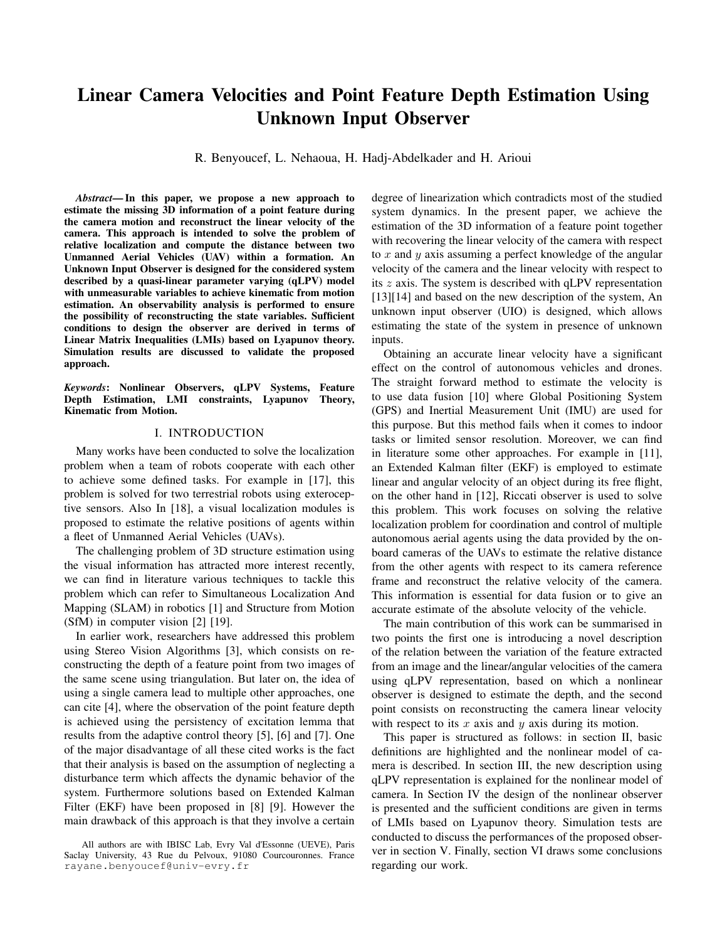It follows that:

$$
\hat{\mathbf{d}}_k = (\mathbf{C}\mathbf{F})^{-1} \left[ \mathbf{y}_{k+1} - \mathbf{C} \prod_{i=1}^r \mu_i(\hat{\mathbf{x}}_k) \mathbf{A}_i \hat{\mathbf{x}}_k + \mathbf{B}(\mathbf{y}_k) \omega_k \right]
$$
\n(39)

The unknown input has the given form:

$$
\mathbf{d}_k = \frac{-\chi v_x}{-\chi v_y} \tag{40}
$$

The estimate of linear velocity with respect to  $x$  and  $y$  axis of the camera is obtained as follows:

$$
\begin{array}{cc}\n\hat{v}_x & = -\hat{\mathbf{d}}_k \hat{\chi}^{-1} \\
v_y & \end{array} \tag{41}
$$

# V. SIMULATION RESULTS

In order to validate the proposed approach, we consider two sets of synthetic images generated at a rate of  $20fps$ using a known camera motion. The real depth information  $\chi$  of the tracked point feature as well as the linear velocities  $v_x$  and  $v_y$  are compared with the estimated ones and used in the discussion of the observer performance.

The LMIs conditions derived previously are solved and yield the following result:

$$
\epsilon = 2.7666, \quad \lambda = 4.5048, \quad \eta = 1.6908
$$
\n
$$
P = \begin{bmatrix} 2.1209 & 0 & 0 \\ 0 & 2.1209 & 0 \\ 0 & 0 & 1.1217 \end{bmatrix}
$$
\n
$$
Q = 10^{-11} \begin{bmatrix} 0.0093 & 0.1220 & -0.0001 \\ 0.1220 & 0.0296 & -0.0035 \\ -0.0001 & -0.0035 & 0 \end{bmatrix}
$$

The first set where original and final images are shown in figure [\(1\)](#page-4-0), is generated using the following linear/angular velocities of the camera:

$$
v_x = 0.2 \sin(\pi t)
$$
  $v_y = -0.2 + 0.1t$   $v_z = -0.7$   
 $\omega_x = 0.1$   $\omega_y = -0.2$   $\omega_z = 0$ 

The red dot in the images represents the tracked point that we want to estimate its depth.

<span id="page-4-0"></span>

Fig. 1: (a) the original and (b) the final images of the first set of images.

To better verify the performance of the observer, we consider now a second set of images where the original and final

<span id="page-4-2"></span>

Fig. 2: (a) Estimation error (b) Real and estimated depths of the selected image point.

<span id="page-4-3"></span>

Fig. 3: Real an estimated linear velocities: (a)  $v_x$  and (b)  $v_y$ .

images are shown in figure [\(4\)](#page-4-1). The set of images is generated using the linear/angular velocities of the camera defined below:

$$
v_x = 0.4 \cos(2\pi t)
$$
  $v_y = 0.5 \cos(\pi t)$   $v_z = -0.7 \cos(\pi t) - 0.3$   
 $\omega_x = 0.1$   $\omega_y = -0.1$   $\omega_z = 0.1$ 

<span id="page-4-1"></span>

Fig. 4: (a) the original and (b) the final images of the second set of images.

Note that the initial value of the estimated depth information  $\hat{\chi}$  is restricted by the Lipschitz condition [\(22\)](#page-2-4). Therefore, a close initial value to the real value of the depth is required for the estimation as shown in figures  $(2b)$  and  $(5b)$ .

It can be noticed from the evolution of the estimation error for the first and the second set depicted in figures  $(2a)$  and [\(5a\)](#page-5-0) respectively, that the convergence is achieved within approximately 2.5 sec.

Figures [\(3\)](#page-4-3) and [\(6\)](#page-5-1) highlight the reconstructed velocities along the  $x$  and  $y$  axis respectively for both sets. From the depicted figures one can see that the velocities are